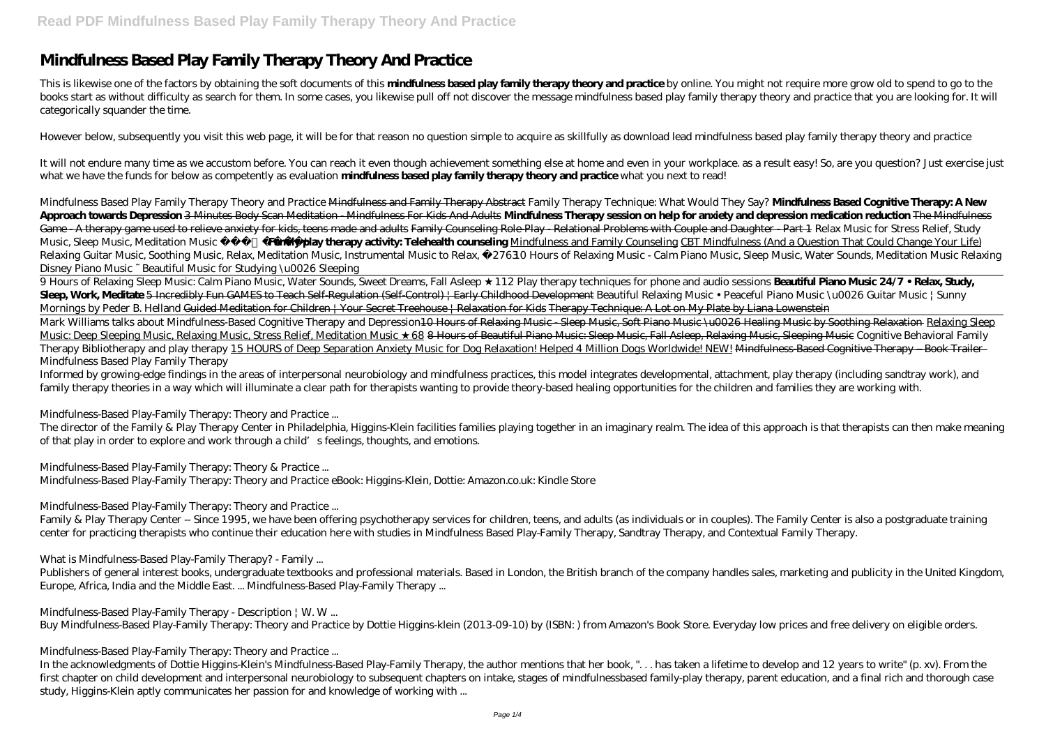## **Mindfulness Based Play Family Therapy Theory And Practice**

This is likewise one of the factors by obtaining the soft documents of this **mindfulness based play family therapy theory and practice** by online. You might not require more grow old to spend to go to the books start as without difficulty as search for them. In some cases, you likewise pull off not discover the message mindfulness based play family therapy theory and practice that you are looking for. It will categorically squander the time.

However below, subsequently you visit this web page, it will be for that reason no question simple to acquire as skillfully as download lead mindfulness based play family therapy theory and practice

It will not endure many time as we accustom before. You can reach it even though achievement something else at home and even in your workplace. as a result easy! So, are you question? Just exercise just what we have the funds for below as competently as evaluation **mindfulness based play family therapy theory and practice** what you next to read!

*Mindfulness Based Play Family Therapy Theory and Practice* Mindfulness and Family Therapy Abstract *Family Therapy Technique: What Would They Say?* **Mindfulness Based Cognitive Therapy: A New Approach towards Depression** 3 Minutes Body Scan Meditation - Mindfulness For Kids And Adults **Mindfulness Therapy session on help for anxiety and depression medication reduction** The Mindfulness Game - A therapy game used to relieve anxiety for kids, teens made and adults Family Counseling Role-Play - Relational Problems with Couple and Daughter - Part 1 Relax Music for Stress Relief, Study Music, Sleep Music, Meditation Music 528H**z mily play therapy activity: Telehealth counseling** Mindfulness and Family Counseling CBT Mindfulness (And a Question That Could Change Your Life) *Relaxing Guitar Music, Soothing Music, Relax, Meditation Music, Instrumental Music to Relax, ☯276310 Hours of Relaxing Music - Calm Piano Music, Sleep Music, Water Sounds, Meditation Music Relaxing Disney Piano Music ~ Beautiful Music for Studying \u0026 Sleeping*

9 Hours of Relaxing Sleep Music: Calm Piano Music, Water Sounds, Sweet Dreams, Fall Asleep 112 Play therapy techniques for phone and audio sessions **Beautiful Piano Music 24/7 • Relax, Study**, Sleep, Work, Meditate 5 Incredibly Fun GAMES to Teach Self-Regulation (Self-Control) | Early Childhood Development Beautiful Relaxing Music • Peaceful Piano Music \u0026 Guitar Music | Sunny Mornings by Peder B. Helland Guided Meditation for Children | Your Secret Treehouse | Relaxation for Kids Therapy Technique: A Lot on My Plate by Liana Lowenstein Mark Williams talks about Mindfulness-Based Cognitive Therapy and Depression<del>10 Hours of Relaxing Music - Sleep Music, Soft Piano Music \u0026 Healing Music by Soothing Relaxation Relaxing Sleep</del> Music: Deep Sleeping Music, Relaxing Music, Stress Relief, Meditation Music 68 8 Hours of Beautiful Piano Music: Sleep Music, Fall Asleep, Relaxing Music, Sleeping Music *Cognitive Behavioral Family Therapy Bibliotherapy and play therapy* 15 HOURS of Deep Separation Anxiety Music for Dog Relaxation! Helped 4 Million Dogs Worldwide! NEW! Mindfulness-Based Cognitive Therapy – Book Trailer Mindfulness Based Play Family Therapy

Informed by growing-edge findings in the areas of interpersonal neurobiology and mindfulness practices, this model integrates developmental, attachment, play therapy (including sandtray work), and family therapy theories in a way which will illuminate a clear path for therapists wanting to provide theory-based healing opportunities for the children and families they are working with.

Mindfulness-Based Play-Family Therapy: Theory and Practice ...

The director of the Family & Play Therapy Center in Philadelphia, Higgins-Klein facilities families playing together in an imaginary realm. The idea of this approach is that therapists can then make meaning of that play in order to explore and work through a child's feelings, thoughts, and emotions.

Mindfulness-Based Play-Family Therapy: Theory & Practice ...

Mindfulness-Based Play-Family Therapy: Theory and Practice eBook: Higgins-Klein, Dottie: Amazon.co.uk: Kindle Store

Mindfulness-Based Play-Family Therapy: Theory and Practice ...

Family & Play Therapy Center -- Since 1995, we have been offering psychotherapy services for children, teens, and adults (as individuals or in couples). The Family Center is also a postgraduate training center for practicing therapists who continue their education here with studies in Mindfulness Based Play-Family Therapy, Sandtray Therapy, and Contextual Family Therapy.

What is Mindfulness-Based Play-Family Therapy? - Family ...

Publishers of general interest books, undergraduate textbooks and professional materials. Based in London, the British branch of the company handles sales, marketing and publicity in the United Kingdom, Europe, Africa, India and the Middle East. ... Mindfulness-Based Play-Family Therapy ...

Mindfulness-Based Play-Family Therapy - Description | W.W...

Buy Mindfulness-Based Play-Family Therapy: Theory and Practice by Dottie Higgins-klein (2013-09-10) by (ISBN: ) from Amazon's Book Store. Everyday low prices and free delivery on eligible orders.

Mindfulness-Based Play-Family Therapy: Theory and Practice ...

In the acknowledgments of Dottie Higgins-Klein's Mindfulness-Based Play-Family Therapy, the author mentions that her book, ". . . has taken a lifetime to develop and 12 years to write" (p. xv). From the first chapter on child development and interpersonal neurobiology to subsequent chapters on intake, stages of mindfulnessbased family-play therapy, parent education, and a final rich and thorough case study, Higgins-Klein aptly communicates her passion for and knowledge of working with ...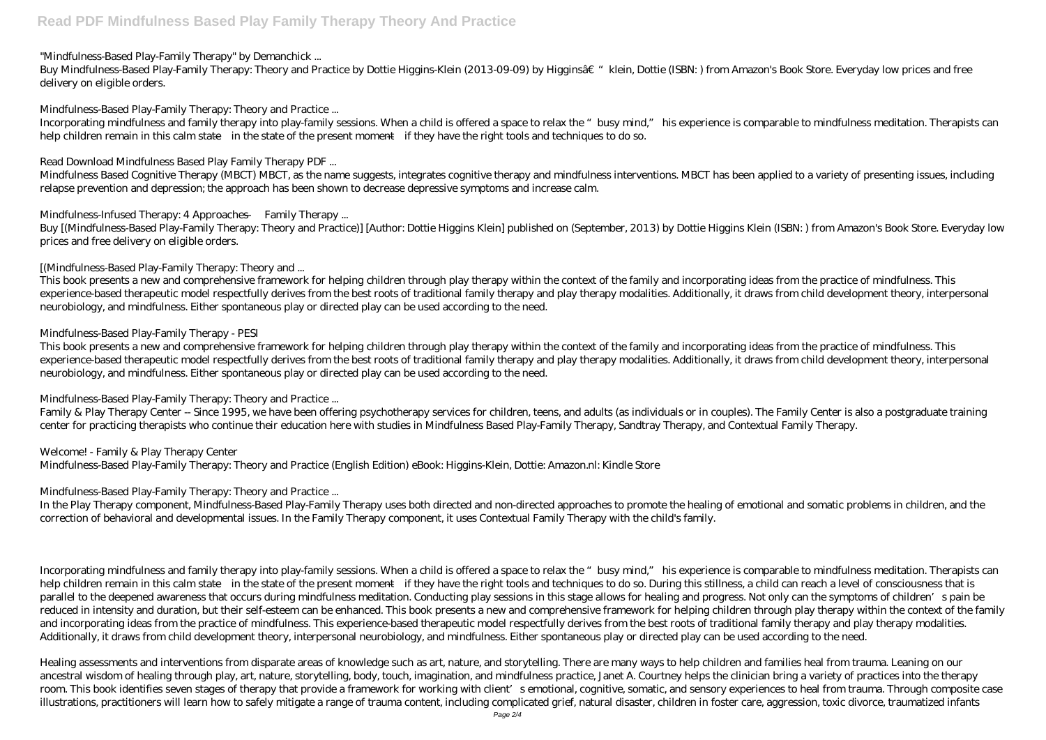## "Mindfulness-Based Play-Family Therapy" by Demanchick ...

Buy Mindfulness-Based Play-Family Therapy: Theory and Practice by Dottie Higgins-Klein (2013-09-09) by Higginsa $\varepsilon$  "klein, Dottie (ISBN: ) from Amazon's Book Store. Everyday low prices and free delivery on eligible orders.

Mindfulness-Based Play-Family Therapy: Theory and Practice ...

Incorporating mindfulness and family therapy into play-family sessions. When a child is offered a space to relax the "busy mind," his experience is comparable to mindfulness meditation. Therapists can help children remain in this calm state—in the state of the present moment—if they have the right tools and techniques to do so.

Buy [(Mindfulness-Based Play-Family Therapy: Theory and Practice)] [Author: Dottie Higgins Klein] published on (September, 2013) by Dottie Higgins Klein (ISBN: ) from Amazon's Book Store. Everyday low prices and free delivery on eligible orders.

Read Download Mindfulness Based Play Family Therapy PDF ...

Mindfulness Based Cognitive Therapy (MBCT) MBCT, as the name suggests, integrates cognitive therapy and mindfulness interventions. MBCT has been applied to a variety of presenting issues, including relapse prevention and depression; the approach has been shown to decrease depressive symptoms and increase calm.

Mindfulness-Infused Therapy: 4 Approaches — Family Therapy ...

[(Mindfulness-Based Play-Family Therapy: Theory and ...

This book presents a new and comprehensive framework for helping children through play therapy within the context of the family and incorporating ideas from the practice of mindfulness. This experience-based therapeutic model respectfully derives from the best roots of traditional family therapy and play therapy modalities. Additionally, it draws from child development theory, interpersonal neurobiology, and mindfulness. Either spontaneous play or directed play can be used according to the need.

Mindfulness-Based Play-Family Therapy - PESI

This book presents a new and comprehensive framework for helping children through play therapy within the context of the family and incorporating ideas from the practice of mindfulness. This experience-based therapeutic model respectfully derives from the best roots of traditional family therapy and play therapy modalities. Additionally, it draws from child development theory, interpersonal neurobiology, and mindfulness. Either spontaneous play or directed play can be used according to the need.

Mindfulness-Based Play-Family Therapy: Theory and Practice ...

Family & Play Therapy Center -- Since 1995, we have been offering psychotherapy services for children, teens, and adults (as individuals or in couples). The Family Center is also a postgraduate training center for practicing therapists who continue their education here with studies in Mindfulness Based Play-Family Therapy, Sandtray Therapy, and Contextual Family Therapy.

Welcome! - Family & Play Therapy Center Mindfulness-Based Play-Family Therapy: Theory and Practice (English Edition) eBook: Higgins-Klein, Dottie: Amazon.nl: Kindle Store

Mindfulness-Based Play-Family Therapy: Theory and Practice ...

In the Play Therapy component, Mindfulness-Based Play-Family Therapy uses both directed and non-directed approaches to promote the healing of emotional and somatic problems in children, and the correction of behavioral and developmental issues. In the Family Therapy component, it uses Contextual Family Therapy with the child's family.

Incorporating mindfulness and family therapy into play-family sessions. When a child is offered a space to relax the "busy mind," his experience is comparable to mindfulness meditation. Therapists can help children remain in this calm state—in the state of the present moment—if they have the right tools and techniques to do so. During this stillness, a child can reach a level of consciousness that is parallel to the deepened awareness that occurs during mindfulness meditation. Conducting play sessions in this stage allows for healing and progress. Not only can the symptoms of children's pain be reduced in intensity and duration, but their self-esteem can be enhanced. This book presents a new and comprehensive framework for helping children through play therapy within the context of the family and incorporating ideas from the practice of mindfulness. This experience-based therapeutic model respectfully derives from the best roots of traditional family therapy and play therapy modalities. Additionally, it draws from child development theory, interpersonal neurobiology, and mindfulness. Either spontaneous play or directed play can be used according to the need.

Healing assessments and interventions from disparate areas of knowledge such as art, nature, and storytelling. There are many ways to help children and families heal from trauma. Leaning on our ancestral wisdom of healing through play, art, nature, storytelling, body, touch, imagination, and mindfulness practice, Janet A. Courtney helps the clinician bring a variety of practices into the therapy room. This book identifies seven stages of therapy that provide a framework for working with client's emotional, cognitive, somatic, and sensory experiences to heal from trauma. Through composite case illustrations, practitioners will learn how to safely mitigate a range of trauma content, including complicated grief, natural disaster, children in foster care, aggression, toxic divorce, traumatized infants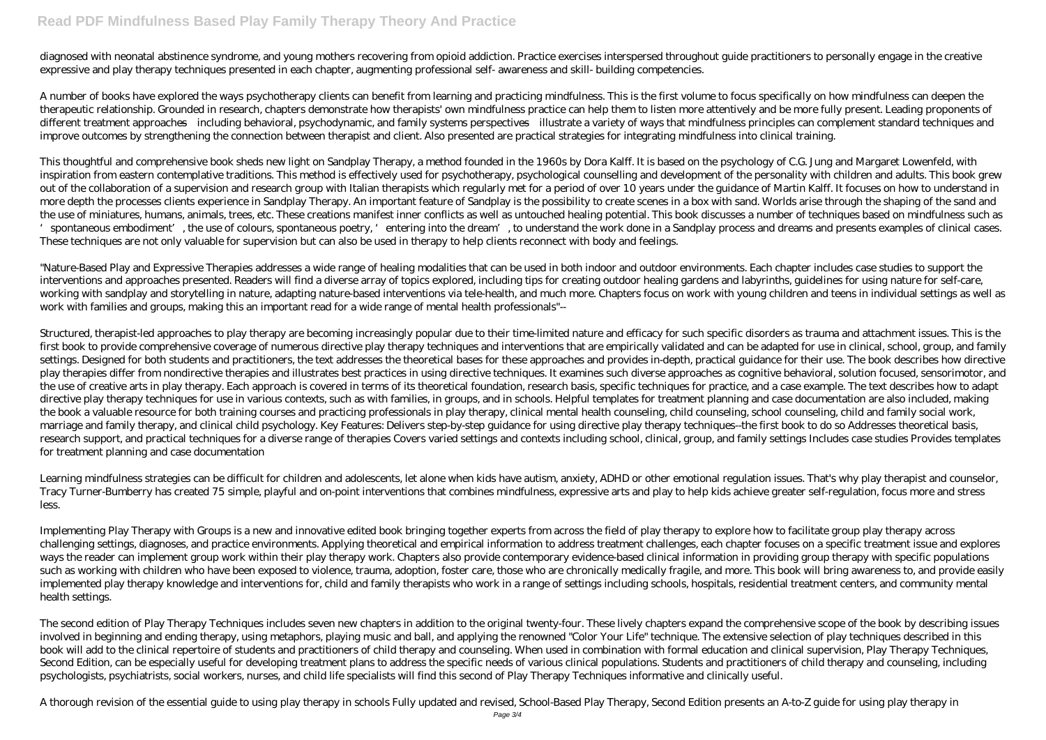## **Read PDF Mindfulness Based Play Family Therapy Theory And Practice**

diagnosed with neonatal abstinence syndrome, and young mothers recovering from opioid addiction. Practice exercises interspersed throughout guide practitioners to personally engage in the creative expressive and play therapy techniques presented in each chapter, augmenting professional self- awareness and skill- building competencies.

A number of books have explored the ways psychotherapy clients can benefit from learning and practicing mindfulness. This is the first volume to focus specifically on how mindfulness can deepen the therapeutic relationship. Grounded in research, chapters demonstrate how therapists' own mindfulness practice can help them to listen more attentively and be more fully present. Leading proponents of different treatment approaches—including behavioral, psychodynamic, and family systems perspectives—illustrate a variety of ways that mindfulness principles can complement standard techniques and improve outcomes by strengthening the connection between therapist and client. Also presented are practical strategies for integrating mindfulness into clinical training.

This thoughtful and comprehensive book sheds new light on Sandplay Therapy, a method founded in the 1960s by Dora Kalff. It is based on the psychology of C.G. Jung and Margaret Lowenfeld, with inspiration from eastern contemplative traditions. This method is effectively used for psychotherapy, psychological counselling and development of the personality with children and adults. This book grew out of the collaboration of a supervision and research group with Italian therapists which regularly met for a period of over 10 years under the guidance of Martin Kalff. It focuses on how to understand in more depth the processes clients experience in Sandplay Therapy. An important feature of Sandplay is the possibility to create scenes in a box with sand. Worlds arise through the shaping of the sand and the use of miniatures, humans, animals, trees, etc. These creations manifest inner conflicts as well as untouched healing potential. This book discusses a number of techniques based on mindfulness such as spontaneous embodiment', the use of colours, spontaneous poetry, 'entering into the dream', to understand the work done in a Sandplay process and dreams and presents examples of clinical cases. These techniques are not only valuable for supervision but can also be used in therapy to help clients reconnect with body and feelings.

"Nature-Based Play and Expressive Therapies addresses a wide range of healing modalities that can be used in both indoor and outdoor environments. Each chapter includes case studies to support the interventions and approaches presented. Readers will find a diverse array of topics explored, including tips for creating outdoor healing gardens and labyrinths, guidelines for using nature for self-care, working with sandplay and storytelling in nature, adapting nature-based interventions via tele-health, and much more. Chapters focus on work with young children and teens in individual settings as well as work with families and groups, making this an important read for a wide range of mental health professionals"--

Structured, therapist-led approaches to play therapy are becoming increasingly popular due to their time-limited nature and efficacy for such specific disorders as trauma and attachment issues. This is the first book to provide comprehensive coverage of numerous directive play therapy techniques and interventions that are empirically validated and can be adapted for use in clinical, school, group, and family settings. Designed for both students and practitioners, the text addresses the theoretical bases for these approaches and provides in-depth, practical guidance for their use. The book describes how directive play therapies differ from nondirective therapies and illustrates best practices in using directive techniques. It examines such diverse approaches as cognitive behavioral, solution focused, sensorimotor, and the use of creative arts in play therapy. Each approach is covered in terms of its theoretical foundation, research basis, specific techniques for practice, and a case example. The text describes how to adapt directive play therapy techniques for use in various contexts, such as with families, in groups, and in schools. Helpful templates for treatment planning and case documentation are also included, making the book a valuable resource for both training courses and practicing professionals in play therapy, clinical mental health counseling, child counseling, school counseling, child and family social work, marriage and family therapy, and clinical child psychology. Key Features: Delivers step-by-step guidance for using directive play therapy techniques--the first book to do so Addresses theoretical basis, research support, and practical techniques for a diverse range of therapies Covers varied settings and contexts including school, clinical, group, and family settings Includes case studies Provides templates for treatment planning and case documentation

Learning mindfulness strategies can be difficult for children and adolescents, let alone when kids have autism, anxiety, ADHD or other emotional regulation issues. That's why play therapist and counselor, Tracy Turner-Bumberry has created 75 simple, playful and on-point interventions that combines mindfulness, expressive arts and play to help kids achieve greater self-regulation, focus more and stress less.

Implementing Play Therapy with Groups is a new and innovative edited book bringing together experts from across the field of play therapy to explore how to facilitate group play therapy across challenging settings, diagnoses, and practice environments. Applying theoretical and empirical information to address treatment challenges, each chapter focuses on a specific treatment issue and explores ways the reader can implement group work within their play therapy work. Chapters also provide contemporary evidence-based clinical information in providing group therapy with specific populations such as working with children who have been exposed to violence, trauma, adoption, foster care, those who are chronically medically fragile, and more. This book will bring awareness to, and provide easily implemented play therapy knowledge and interventions for, child and family therapists who work in a range of settings including schools, hospitals, residential treatment centers, and community mental health settings.

The second edition of Play Therapy Techniques includes seven new chapters in addition to the original twenty-four. These lively chapters expand the comprehensive scope of the book by describing issues involved in beginning and ending therapy, using metaphors, playing music and ball, and applying the renowned "Color Your Life" technique. The extensive selection of play techniques described in this book will add to the clinical repertoire of students and practitioners of child therapy and counseling. When used in combination with formal education and clinical supervision, Play Therapy Techniques, Second Edition, can be especially useful for developing treatment plans to address the specific needs of various clinical populations. Students and practitioners of child therapy and counseling, including psychologists, psychiatrists, social workers, nurses, and child life specialists will find this second of Play Therapy Techniques informative and clinically useful.

A thorough revision of the essential guide to using play therapy in schools Fully updated and revised, School-Based Play Therapy, Second Edition presents an A-to-Z guide for using play therapy in